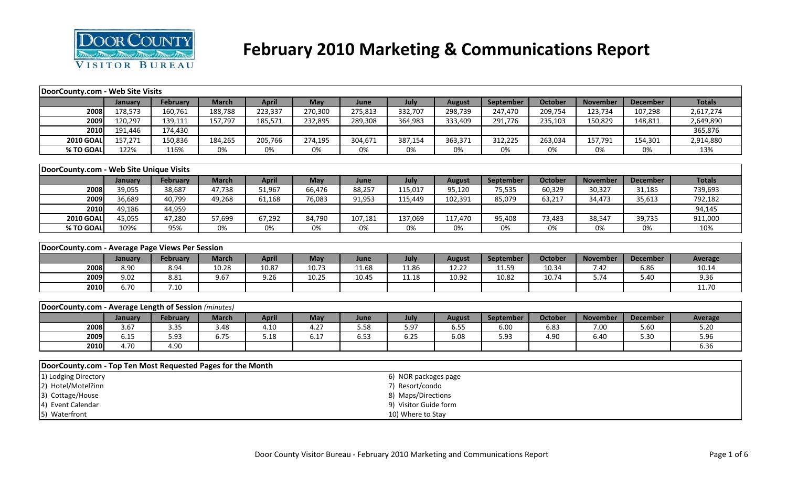

# **February 2010 Marketing & Communications Report**

| DoorCounty.com - Web Site Visits                            |         |                 |              |              |            |         |                       |               |           |                |                 |                 |                |
|-------------------------------------------------------------|---------|-----------------|--------------|--------------|------------|---------|-----------------------|---------------|-----------|----------------|-----------------|-----------------|----------------|
|                                                             | January | February        | <b>March</b> | <b>April</b> | May        | June    | July                  | <b>August</b> | September | <b>October</b> | <b>November</b> | <b>December</b> | <b>Totals</b>  |
| 2008                                                        | 178,573 | 160,761         | 188,788      | 223,337      | 270,300    | 275,813 | 332,707               | 298,739       | 247,470   | 209,754        | 123,734         | 107,298         | 2,617,274      |
| 2009                                                        | 120,297 | 139,111         | 157,797      | 185,571      | 232,895    | 289,308 | 364,983               | 333,409       | 291,776   | 235,103        | 150,829         | 148,811         | 2,649,890      |
| 2010                                                        | 191,446 | 174,430         |              |              |            |         |                       |               |           |                |                 |                 | 365,876        |
| <b>2010 GOAL</b>                                            | 157,271 | 150,836         | 184,265      | 205,766      | 274,195    | 304,671 | 387,154               | 363,371       | 312,225   | 263,034        | 157,791         | 154,301         | 2,914,880      |
| % TO GOAL                                                   | 122%    | 116%            | 0%           | 0%           | 0%         | 0%      | 0%                    | 0%            | 0%        | 0%             | 0%              | 0%              | 13%            |
|                                                             |         |                 |              |              |            |         |                       |               |           |                |                 |                 |                |
| DoorCounty.com - Web Site Unique Visits                     |         |                 |              |              |            |         |                       |               |           |                |                 |                 |                |
|                                                             | January | <b>February</b> | <b>March</b> | <b>April</b> | May        | June    | July                  | <b>August</b> | September | <b>October</b> | <b>November</b> | <b>December</b> | <b>Totals</b>  |
| 2008                                                        | 39,055  | 38,687          | 47,738       | 51,967       | 66,476     | 88,257  | 115,017               | 95,120        | 75,535    | 60,329         | 30,327          | 31,185          | 739,693        |
| 2009                                                        | 36,689  | 40,799          | 49,268       | 61,168       | 76,083     | 91,953  | 115,449               | 102,391       | 85,079    | 63,217         | 34,473          | 35,613          | 792,182        |
| 2010                                                        | 49,186  | 44,959          |              |              |            |         |                       |               |           |                |                 |                 | 94,145         |
| <b>2010 GOAL</b>                                            | 45,055  | 47,280          | 57,699       | 67,292       | 84,790     | 107,181 | 137,069               | 117,470       | 95,408    | 73,483         | 38,547          | 39,735          | 911,000        |
| % TO GOAL                                                   | 109%    | 95%             | 0%           | 0%           | 0%         | 0%      | 0%                    | 0%            | 0%        | 0%             | 0%              | $0\%$           | 10%            |
|                                                             |         |                 |              |              |            |         |                       |               |           |                |                 |                 |                |
| DoorCounty.com - Average Page Views Per Session             |         |                 |              |              |            |         |                       |               |           |                |                 |                 |                |
|                                                             | January | February        | <b>March</b> | <b>April</b> | May        | June    | July                  | <b>August</b> | September | <b>October</b> | <b>November</b> | <b>December</b> | <b>Average</b> |
| 2008                                                        | 8.90    | 8.94            | 10.28        | 10.87        | 10.73      | 11.68   | 11.86                 | 12.22         | 11.59     | 10.34          | 7.42            | 6.86            | 10.14          |
| 2009                                                        | 9.02    | 8.81            | 9.67         | 9.26         | 10.25      | 10.45   | 11.18                 | 10.92         | 10.82     | 10.74          | 5.74            | 5.40            | 9.36           |
| 2010                                                        | 6.70    | 7.10            |              |              |            |         |                       |               |           |                |                 |                 | 11.70          |
|                                                             |         |                 |              |              |            |         |                       |               |           |                |                 |                 |                |
| DoorCounty.com - Average Length of Session (minutes)        |         |                 |              |              |            |         |                       |               |           |                |                 |                 |                |
|                                                             | January | February        | <b>March</b> | <b>April</b> | <b>May</b> | June    | July                  | <b>August</b> | September | October        | <b>November</b> | <b>December</b> | <b>Average</b> |
| 2008                                                        | 3.67    | 3.35            | 3.48         | 4.10         | 4.27       | 5.58    | 5.97                  | 6.55          | 6.00      | 6.83           | 7.00            | 5.60            | 5.20           |
| 2009                                                        | 6.15    | 5.93            | 6.75         | 5.18         | 6.17       | 6.53    | 6.25                  | 6.08          | 5.93      | 4.90           | 6.40            | 5.30            | 5.96           |
| 2010                                                        | 4.70    | 4.90            |              |              |            |         |                       |               |           |                |                 |                 | 6.36           |
|                                                             |         |                 |              |              |            |         |                       |               |           |                |                 |                 |                |
| DoorCounty.com - Top Ten Most Requested Pages for the Month |         |                 |              |              |            |         |                       |               |           |                |                 |                 |                |
| 1) Lodging Directory                                        |         |                 |              |              |            |         | 6) NOR packages page  |               |           |                |                 |                 |                |
| 2) Hotel/Motel?inn                                          |         |                 |              |              |            |         | 7) Resort/condo       |               |           |                |                 |                 |                |
| 3) Cottage/House                                            |         |                 |              |              |            |         | 8) Maps/Directions    |               |           |                |                 |                 |                |
| 4) Event Calendar                                           |         |                 |              |              |            |         |                       |               |           |                |                 |                 |                |
| 5) Waterfront                                               |         |                 |              |              |            |         | 9) Visitor Guide form |               |           |                |                 |                 |                |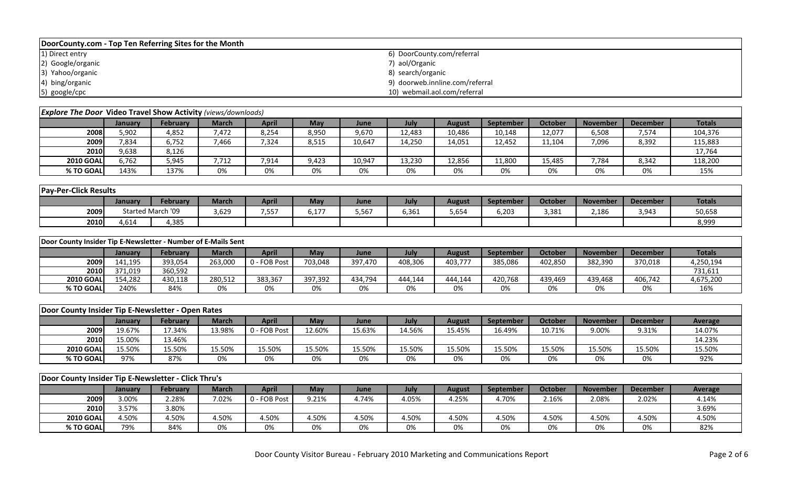| DoorCounty.com - Top Ten Referring Sites for the Month |                                 |  |  |  |  |  |  |  |  |  |
|--------------------------------------------------------|---------------------------------|--|--|--|--|--|--|--|--|--|
| 1) Direct entry                                        | 6) DoorCounty.com/referral      |  |  |  |  |  |  |  |  |  |
| 2) Google/organic                                      | 7) aol/Organic                  |  |  |  |  |  |  |  |  |  |
| 3) Yahoo/organic                                       | 8) search/organic               |  |  |  |  |  |  |  |  |  |
| 4) bing/organic                                        | 9) doorweb.innline.com/referral |  |  |  |  |  |  |  |  |  |
| 5) google/cpc                                          | 10) webmail.aol.com/referral    |  |  |  |  |  |  |  |  |  |

| <b>Explore The Door Video Travel Show Activity</b> (views/downloads) |         |                 |              |              |       |        |        |        |                  |         |                 |                 |               |
|----------------------------------------------------------------------|---------|-----------------|--------------|--------------|-------|--------|--------|--------|------------------|---------|-----------------|-----------------|---------------|
|                                                                      | Januarv | <b>February</b> | <b>March</b> | <b>April</b> | May   | June   | July   | August | <b>September</b> | October | <b>November</b> | <b>December</b> | <b>Totals</b> |
| 2008                                                                 | 5,902   | 4,852           | 7.472        | 8,254        | 8,950 | 9,670  | 12,483 | 10,486 | 10,148           | 12,077  | 6,508           | 7,574           | 104,376       |
| 2009                                                                 | 7,834   | 6,752           | 7,466        | 7,324        | 8,515 | 10,647 | 14,250 | 14,051 | 12,452           | 11,104  | 7,096           | 8,392           | 115,883       |
| 2010                                                                 | 9,638   | 8,126           |              |              |       |        |        |        |                  |         |                 |                 | 17,764        |
| <b>2010 GOAL</b>                                                     | 6.762   | 5,945           | 7.712        | 7,914        | 9,423 | 10,947 | 13,230 | 12,856 | 11,800           | 15,485  | 7,784           | 8,342           | 118,200       |
| % TO GOAL                                                            | 143%    | 137%            | 0%           | 0%           | 0%    | 0%     | 0%     | 0%     | 0%               | 0%      | 0%              | 0%              | 15%           |

| <b>Pay-Per-Click Results</b> |         |                   |              |              |                  |       |       |        |                  |                |                 |          |               |
|------------------------------|---------|-------------------|--------------|--------------|------------------|-------|-------|--------|------------------|----------------|-----------------|----------|---------------|
|                              | Januarv | <b>February</b>   | <b>March</b> | <b>April</b> | May              | June  | July  | August | <b>September</b> | <b>October</b> | <b>November</b> | December | <b>Totals</b> |
| 2009                         |         | Started March '09 | 3,629        | 7,557        | $-1 - 7$<br>0,⊥7 | 5,567 | 6,361 | 5,654  | 6,203            | 3,381          | 2,186           | 3,943    | 50,658        |
| 2010                         | 4,614   | 4,385             |              |              |                  |       |       |        |                  |                |                 |          | 8,999         |

|                  | Door County Insider Tip E-Newsletter - Number of E-Mails Sent |          |         |              |         |         |         |               |           |                |                 |                 |               |
|------------------|---------------------------------------------------------------|----------|---------|--------------|---------|---------|---------|---------------|-----------|----------------|-----------------|-----------------|---------------|
|                  | January                                                       | February | March   | April        | May     | June    | July    | <b>August</b> | September | <b>October</b> | <b>November</b> | <b>December</b> | <b>Totals</b> |
| 2009             | 141,195                                                       | 393,054  | 263,000 | 0 - FOB Post | 703,048 | 397,470 | 408,306 | 403,777       | 385,086   | 402,850        | 382,390         | 370,018         | 4,250,194     |
| <b>2010</b>      | 371.019                                                       | 360,592  |         |              |         |         |         |               |           |                |                 |                 | 731,611       |
| <b>2010 GOAL</b> | 154.282                                                       | 430,118  | 280.512 | 383,367      | 397.392 | 434,794 | 444.144 | 444.144       | 420.768   | 439.469        | 439.468         | 406,742         | 4,675,200     |
| % TO GOAL        | 240%                                                          | 84%      | 0%      | 0%           | 0%      | 0%      | 0%      | 0%            | 0%        | 0%             | 0%              | 0%              | 16%           |

| Door County Insider Tip E-Newsletter - Open Rates |         |                 |        |              |        |        |        |        |           |                |                 |                 |                |
|---------------------------------------------------|---------|-----------------|--------|--------------|--------|--------|--------|--------|-----------|----------------|-----------------|-----------------|----------------|
|                                                   | January | <b>February</b> | March  | April        | May    | June   | July   | August | September | <b>October</b> | <b>November</b> | <b>December</b> | <b>Average</b> |
| 2009                                              | 19.67%  | !7.34%          | 13.98% | 0 - FOB Post | 12.60% | 15.63% | 14.56% | 15.45% | 16.49%    | 10.71%         | 9.00%           | 9.31%           | 14.07%         |
| 2010                                              | 15.00%  | 13.46%          |        |              |        |        |        |        |           |                |                 |                 | 14.23%         |
| <b>2010 GOAL</b>                                  | 15.50%  | 15.50%          | 15.50% | 15.50%       | 15.50% | 15.50% | 15.50% | 15.50% | 15.50%    | 15.50%         | 15.50%          | 15.50%          | 15.50%         |
| % TO GOAL                                         | 97%     | 87%             | 0%     | 0%           | 0%     | 0%     | 0%     | 0%     | 0%        | 0%             | 0%              | 0%              | 92%            |

|                  | Door County Insider Tip E-Newsletter - Click Thru's |                 |              |              |       |       |       |        |                  |         |                 |                 |         |
|------------------|-----------------------------------------------------|-----------------|--------------|--------------|-------|-------|-------|--------|------------------|---------|-----------------|-----------------|---------|
|                  | Januarv                                             | <b>February</b> | <b>March</b> | <b>April</b> | May   | June  | July  | August | <b>September</b> | October | <b>November</b> | <b>December</b> | Average |
| 2009             | 3.00%                                               | 2.28%           | 7.02%        | FOB Post     | 9.21% | 4.74% | 4.05% | 4.25%  | 4.70%            | 2.16%   | 2.08%           | 2.02%           | 4.14%   |
| 2010             | 3.57%                                               | 3.80%           |              |              |       |       |       |        |                  |         |                 |                 | 3.69%   |
| <b>2010 GOAL</b> | 4.50%                                               | 4.50%           | 4.50%        | 4.50%        | 4.50% | 4.50% | 4.50% | 4.50%  | 4.50%            | 4.50%   | 4.50%           | 4.50%           | 4.50%   |
| % TO GOAL        | 79%                                                 | 84%             | 0%           | 0%           | 0%    | 0%    | 0%    | 0%     | 0%               | 0%      | 0%              | 0%              | 82%     |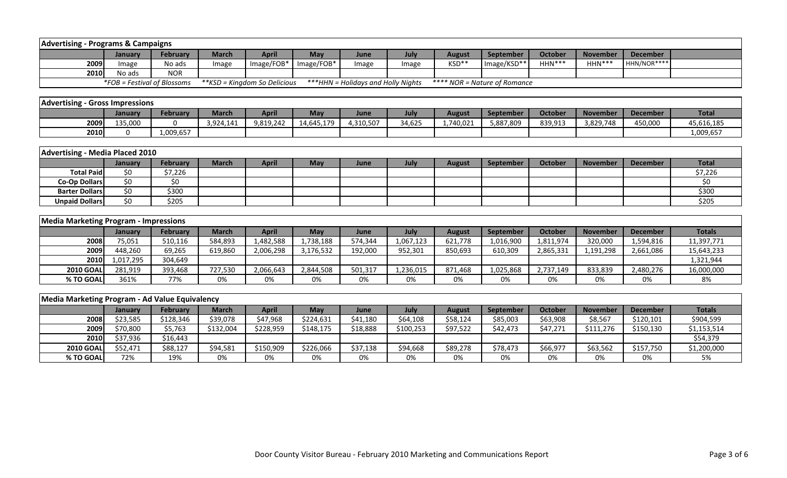| <b>Advertising - Programs &amp; Campaigns</b>  |                             |                 |              |                               |            |                                           |           |               |                              |                |                 |                 |               |
|------------------------------------------------|-----------------------------|-----------------|--------------|-------------------------------|------------|-------------------------------------------|-----------|---------------|------------------------------|----------------|-----------------|-----------------|---------------|
|                                                | January                     | <b>February</b> | <b>March</b> | <b>April</b>                  | May        | June                                      | July      | <b>August</b> | September                    | <b>October</b> | <b>November</b> | <b>December</b> |               |
| 2009                                           | Image                       | No ads          | Image        | Image/FOB*                    | Image/FOB* | Image                                     | Image     | KSD**         | Image/KSD**                  | HHN***         | HHN***          | HHN/NOR****     |               |
| 2010                                           | No ads                      | <b>NOR</b>      |              |                               |            |                                           |           |               |                              |                |                 |                 |               |
|                                                | *FOB = Festival of Blossoms |                 |              | ** KSD = Kingdom So Delicious |            | <b>***HHN</b> = Holidays and Holly Nights |           |               | **** NOR = Nature of Romance |                |                 |                 |               |
|                                                |                             |                 |              |                               |            |                                           |           |               |                              |                |                 |                 |               |
| <b>Advertising - Gross Impressions</b>         |                             |                 |              |                               |            |                                           |           |               |                              |                |                 |                 |               |
|                                                | January                     | February        | <b>March</b> | <b>April</b>                  | May        | June                                      | July      | <b>August</b> | September                    | <b>October</b> | <b>November</b> | <b>December</b> | <b>Total</b>  |
| 2009                                           | 135,000                     | 0               | 3,924,141    | 9,819,242                     | 14,645,179 | 4,310,507                                 | 34,625    | 1,740,021     | 5,887,809                    | 839,913        | 3,829,748       | 450,000         | 45,616,185    |
| 2010                                           | $\Omega$                    | 1,009,657       |              |                               |            |                                           |           |               |                              |                |                 |                 | 1,009,657     |
|                                                |                             |                 |              |                               |            |                                           |           |               |                              |                |                 |                 |               |
| <b>Advertising - Media Placed 2010</b>         |                             |                 |              |                               |            |                                           |           |               |                              |                |                 |                 |               |
|                                                | January                     | <b>February</b> | <b>March</b> | <b>April</b>                  | May        | June                                      | July      | <b>August</b> | September                    | <b>October</b> | <b>November</b> | <b>December</b> | <b>Total</b>  |
| <b>Total Paid</b>                              | \$0                         | \$7,226         |              |                               |            |                                           |           |               |                              |                |                 |                 | \$7,226       |
| <b>Co-Op Dollars</b>                           | \$0                         | \$0\$           |              |                               |            |                                           |           |               |                              |                |                 |                 | \$0           |
| <b>Barter Dollars</b>                          | $\overline{50}$             | \$300           |              |                               |            |                                           |           |               |                              |                |                 |                 | \$300         |
| <b>Unpaid Dollars</b>                          | $\overline{50}$             | \$205           |              |                               |            |                                           |           |               |                              |                |                 |                 | \$205         |
|                                                |                             |                 |              |                               |            |                                           |           |               |                              |                |                 |                 |               |
| <b>Media Marketing Program - Impressions</b>   |                             |                 |              |                               |            |                                           |           |               |                              |                |                 |                 |               |
|                                                | January                     | <b>February</b> | <b>March</b> | <b>April</b>                  | May        | June                                      | July      | <b>August</b> | September                    | <b>October</b> | <b>November</b> | <b>December</b> | <b>Totals</b> |
| 2008                                           | 75,051                      | 510,116         | 584,893      | 1,482,588                     | 1,738,188  | 574,344                                   | 1,067,123 | 621,778       | 1,016,900                    | 1,811,974      | 320,000         | 1,594,816       | 11,397,771    |
| 2009                                           | 448,260                     | 69,265          | 619,860      | 2,006,298                     | 3,176,532  | 192,000                                   | 952,301   | 850,693       | 610.309                      | 2,865,331      | 1,191,298       | 2,661,086       | 15,643,233    |
| 2010                                           | 1,017,295                   | 304,649         |              |                               |            |                                           |           |               |                              |                |                 |                 | 1,321,944     |
| <b>2010 GOAL</b>                               | 281,919                     | 393,468         | 727,530      | 2,066,643                     | 2,844,508  | 501,317                                   | 1,236,015 | 871,468       | 1,025,868                    | 2,737,149      | 833,839         | 2,480,276       | 16,000,000    |
| % TO GOAL                                      | 361%                        | 77%             | 0%           | 0%                            | 0%         | 0%                                        | 0%        | 0%            | 0%                           | 0%             | 0%              | 0%              | 8%            |
|                                                |                             |                 |              |                               |            |                                           |           |               |                              |                |                 |                 |               |
| Media Marketing Program - Ad Value Equivalency |                             |                 |              |                               |            |                                           |           |               |                              |                |                 |                 |               |
|                                                | January                     | February        | <b>March</b> | <b>April</b>                  | May        | June                                      | July      | <b>August</b> | September                    | <b>October</b> | <b>November</b> | <b>December</b> | <b>Totals</b> |
| 2008                                           | \$23,585                    | \$128,346       | \$39,078     | \$47,968                      | \$224,631  | \$41,180                                  | \$64,108  | \$58,124      | \$85,003                     | \$63,908       | \$8,567         | \$120,101       | \$904,599     |
| 2009                                           | \$70,800                    | \$5,763         | \$132,004    | \$228,959                     | \$148,175  | \$18,888                                  | \$100,253 | \$97,522      | \$42,473                     | \$47,271       | \$111,276       | \$150,130       | \$1,153,514   |
| 2010                                           | \$37,936                    | \$16,443        |              |                               |            |                                           |           |               |                              |                |                 |                 | \$54,379      |
| <b>2010 GOAI</b>                               | \$52,471                    | \$88,127        | \$94,581     | \$150,909                     | \$226,066  | \$37,138                                  | \$94,668  | \$89,278      | \$78,473                     | \$66,977       | \$63,562        | \$157,750       | \$1,200,000   |
| % TO GOAL                                      | 72%                         | 19%             | 0%           | 0%                            | 0%         | 0%                                        | 0%        | 0%            | 0%                           | 0%             | 0%              | 0%              | 5%            |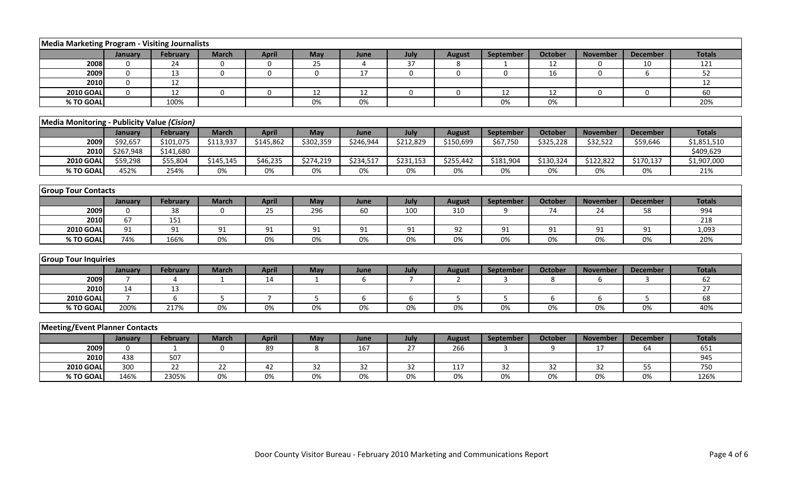| Media Marketing Program - Visiting Journalists |                |                 |              |                |                 |                |                 |                |                 |                |                 |                 |               |
|------------------------------------------------|----------------|-----------------|--------------|----------------|-----------------|----------------|-----------------|----------------|-----------------|----------------|-----------------|-----------------|---------------|
|                                                | January        | <b>February</b> | <b>March</b> | <b>April</b>   | May             | June           | July            | <b>August</b>  | September       | <b>October</b> | <b>November</b> | <b>December</b> | <b>Totals</b> |
| 2008                                           | $\Omega$       | 24              | $\mathbf 0$  | 0              | 25              | $\overline{4}$ | 37              | 8              |                 | 12             | $\Omega$        | 10              | 121           |
| 2009                                           | $\Omega$       | 13              | $\mathbf 0$  | $\mathbf 0$    | $\overline{0}$  | 17             | $\mathbf 0$     | $\mathbf 0$    | $\mathbf 0$     | 16             | $\mathbf 0$     | 6               | 52            |
| 2010                                           | $\mathbf 0$    | 12              |              |                |                 |                |                 |                |                 |                |                 |                 | 12            |
| <b>2010 GOAL</b>                               | $\mathbf 0$    | 12              | 0            | $\mathbf 0$    | 12              | 12             | $\mathbf 0$     | 0              | 12              | 12             | $\mathbf 0$     | 0               | 60            |
| % TO GOAL                                      |                | 100%            |              |                | 0%              | 0%             |                 |                | 0%              | 0%             |                 |                 | 20%           |
|                                                |                |                 |              |                |                 |                |                 |                |                 |                |                 |                 |               |
| Media Monitoring - Publicity Value (Cision)    |                |                 |              |                |                 |                |                 |                |                 |                |                 |                 |               |
|                                                | January        | February        | <b>March</b> | <b>April</b>   | May             | June           | July            | <b>August</b>  | September       | October        | <b>November</b> | <b>December</b> | <b>Totals</b> |
| 2009                                           | \$92,657       | \$101,075       | \$113,937    | \$145,862      | \$302,359       | \$246,944      | \$212,829       | \$150,699      | \$67,750        | \$325,228      | \$32,522        | \$59,646        | \$1,851,510   |
| 2010                                           | \$267,948      | \$141,680       |              |                |                 |                |                 |                |                 |                |                 |                 | \$409,629     |
| <b>2010 GOAL</b>                               | \$59,298       | \$55,804        | \$145,145    | \$46,235       | \$274,219       | \$234,517      | \$231,153       | \$255,442      | \$181,904       | \$130,324      | \$122,822       | \$170,137       | \$1,907,000   |
| % TO GOAL                                      | 452%           | 254%            | 0%           | 0%             | 0%              | 0%             | 0%              | 0%             | 0%              | 0%             | 0%              | 0%              | 21%           |
|                                                |                |                 |              |                |                 |                |                 |                |                 |                |                 |                 |               |
| <b>Group Tour Contacts</b>                     |                |                 |              |                |                 |                |                 |                |                 |                |                 |                 |               |
|                                                | January        | February        | <b>March</b> | <b>April</b>   | May             | June           | July            | <b>August</b>  | September       | <b>October</b> | <b>November</b> | <b>December</b> | <b>Totals</b> |
| 2009                                           | $\Omega$       | 38              | $\Omega$     | 25             | 296             | 60             | 100             | 310            | 9               | 74             | 24              | 58              | 994           |
| 2010                                           | 67             | 151             |              |                |                 |                |                 |                |                 |                |                 |                 | 218           |
| <b>2010 GOAL</b>                               | 91             | 91              | 91           | 91             | 91              | 91             | 91              | 92             | 91              | 91             | 91              | 91              | 1,093         |
| % TO GOAL                                      | 74%            | 166%            | $0\%$        | 0%             | 0%              | 0%             | 0%              | 0%             | $0\%$           | 0%             | 0%              | 0%              | 20%           |
|                                                |                |                 |              |                |                 |                |                 |                |                 |                |                 |                 |               |
| <b>Group Tour Inquiries</b>                    |                |                 |              |                |                 |                |                 |                |                 |                |                 |                 |               |
|                                                | January        | February        | <b>March</b> | <b>April</b>   | May             | June           | July            | <b>August</b>  | September       | <b>October</b> | <b>November</b> | <b>December</b> | <b>Totals</b> |
| 2009                                           | $\overline{7}$ | $\Delta$        | 1            | 14             | 1               | 6              | $\overline{7}$  | $\overline{2}$ | 3               | 8              | 6               | 3               | 62            |
| 2010                                           | 14             | 13              |              |                |                 |                |                 |                |                 |                |                 |                 | 27            |
| <b>2010 GOAL</b>                               | $\overline{7}$ | 6               | 5            | $\overline{7}$ | 5               | 6              | 6               | 5              | 5               | 6              | 6               | 5               | 68            |
| % TO GOAL                                      | 200%           | 217%            | $0\%$        | $0\%$          | $0\%$           | 0%             | 0%              | 0%             | $0\%$           | 0%             | 0%              | 0%              | 40%           |
|                                                |                |                 |              |                |                 |                |                 |                |                 |                |                 |                 |               |
| <b>Meeting/Event Planner Contacts</b>          |                |                 |              |                |                 |                |                 |                |                 |                |                 |                 |               |
|                                                | <b>January</b> | February        | <b>March</b> | <b>April</b>   | May             | June           | July            | <b>August</b>  | September       | October        | <b>November</b> | <b>December</b> | <b>Totals</b> |
| 2009                                           | $\Omega$       |                 | $\Omega$     | 89             | 8               | 167            | 27              | 266            | 3               | q              | 17              | 64              | 651           |
| 2010                                           | 438            | 507             |              |                |                 |                |                 |                |                 |                |                 |                 | 945           |
| <b>2010 GOAL</b>                               | 300            | $\overline{22}$ | 22           | 42             | $\overline{32}$ | 32             | $\overline{32}$ | 117            | $\overline{32}$ | 32             | 32              | 55              | 750           |
| % TO GOAL                                      | 146%           | 2305%           | 0%           | 0%             | 0%              | 0%             | 0%              | 0%             | 0%              | 0%             | 0%              | 0%              | 126%          |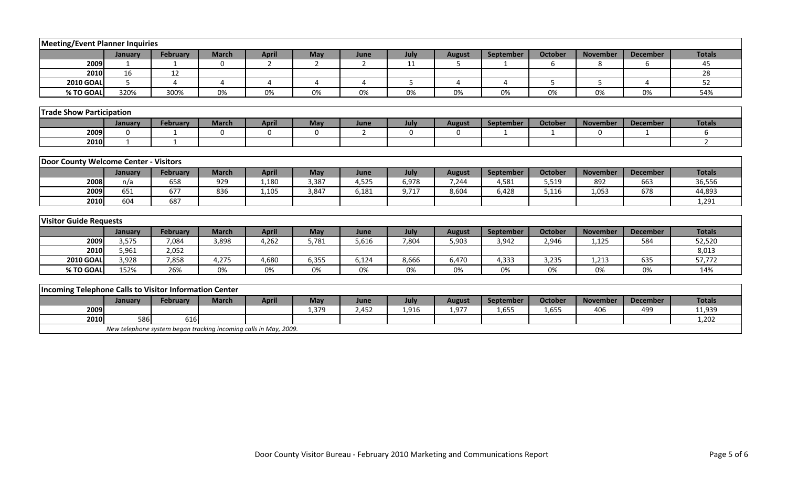| <b>Meeting/Event Planner Inquiries</b>                 |              |                                                                  |                |                |                |                |             |               |                  |                |                 |                 |                |
|--------------------------------------------------------|--------------|------------------------------------------------------------------|----------------|----------------|----------------|----------------|-------------|---------------|------------------|----------------|-----------------|-----------------|----------------|
|                                                        | January      | February                                                         | <b>March</b>   | <b>April</b>   | May            | June           | July        | <b>August</b> | <b>September</b> | <b>October</b> | <b>November</b> | <b>December</b> | <b>Totals</b>  |
| 2009                                                   | $\mathbf{1}$ | $\mathbf{1}$                                                     | $\Omega$       | $\overline{2}$ | $\overline{2}$ | $\overline{2}$ | 11          | 5             | -1               | 6              | 8               | 6               | 45             |
| 2010                                                   | 16           | 12                                                               |                |                |                |                |             |               |                  |                |                 |                 | 28             |
| <b>2010 GOAL</b>                                       | 5            | $\Delta$                                                         | $\overline{a}$ | $\Delta$       | $\Delta$       | $\Delta$       | 5           | 4             | 4                | 5              | 5               | 4               | 52             |
| % TO GOAL                                              | 320%         | 300%                                                             | 0%             | 0%             | 0%             | 0%             | 0%          | 0%            | 0%               | 0%             | 0%              | 0%              | 54%            |
|                                                        |              |                                                                  |                |                |                |                |             |               |                  |                |                 |                 |                |
| <b>Trade Show Participation</b>                        |              |                                                                  |                |                |                |                |             |               |                  |                |                 |                 |                |
|                                                        | January      | February                                                         | <b>March</b>   | <b>April</b>   | May            | June           | July        | <b>August</b> | September        | October        | <b>November</b> | <b>December</b> | <b>Totals</b>  |
| 2009                                                   | $\mathbf 0$  | $\mathbf{1}$                                                     | $\mathbf 0$    | $\mathbf 0$    | $\mathbf 0$    | 2              | $\mathbf 0$ | 0             | -1               | 1              | 0               |                 | 6              |
| 2010                                                   | 1            | 1                                                                |                |                |                |                |             |               |                  |                |                 |                 | $\overline{2}$ |
|                                                        |              |                                                                  |                |                |                |                |             |               |                  |                |                 |                 |                |
| Door County Welcome Center - Visitors                  |              |                                                                  |                |                |                |                |             |               |                  |                |                 |                 |                |
|                                                        | January      | February                                                         | <b>March</b>   | <b>April</b>   | May            | June           | July        | <b>August</b> | September        | <b>October</b> | <b>November</b> | <b>December</b> | <b>Totals</b>  |
| 2008                                                   | n/a          | 658                                                              | 929            | 1,180          | 3,387          | 4,525          | 6,978       | 7,244         | 4,581            | 5,519          | 892             | 663             | 36,556         |
| 2009                                                   | 651          | 677                                                              | 836            | 1,105          | 3,847          | 6,181          | 9,717       | 8,604         | 6,428            | 5,116          | 1,053           | 678             | 44,893         |
| 2010                                                   | 604          | 687                                                              |                |                |                |                |             |               |                  |                |                 |                 | 1,291          |
|                                                        |              |                                                                  |                |                |                |                |             |               |                  |                |                 |                 |                |
| <b>Visitor Guide Requests</b>                          |              |                                                                  |                |                |                |                |             |               |                  |                |                 |                 |                |
|                                                        | January      | February                                                         | <b>March</b>   | <b>April</b>   | May            | June           | July        | <b>August</b> | September        | <b>October</b> | <b>November</b> | <b>December</b> | <b>Totals</b>  |
| 2009                                                   | 3,575        | 7,084                                                            | 3,898          | 4,262          | 5,781          | 5,616          | 7,804       | 5,903         | 3,942            | 2,946          | 1,125           | 584             | 52,520         |
| 2010                                                   | 5,961        | 2,052                                                            |                |                |                |                |             |               |                  |                |                 |                 | 8,013          |
| <b>2010 GOAL</b>                                       | 3,928        | 7,858                                                            | 4,275          | 4,680          | 6,355          | 6,124          | 8,666       | 6,470         | 4,333            | 3,235          | 1,213           | 635             | 57,772         |
| % TO GOAL                                              | 152%         | 26%                                                              | 0%             | 0%             | 0%             | 0%             | 0%          | 0%            | 0%               | 0%             | 0%              | 0%              | 14%            |
|                                                        |              |                                                                  |                |                |                |                |             |               |                  |                |                 |                 |                |
| Incoming Telephone Calls to Visitor Information Center |              |                                                                  |                |                |                |                |             |               |                  |                |                 |                 |                |
|                                                        | January      | <b>February</b>                                                  | <b>March</b>   | <b>April</b>   | May            | June           | July        | <b>August</b> | September        | <b>October</b> | <b>November</b> | <b>December</b> | <b>Totals</b>  |
| 2009                                                   |              |                                                                  |                |                | 1,379          | 2,452          | 1,916       | 1,977         | 1,655            | 1,655          | 406             | 499             | 11,939         |
| 2010                                                   | 586          | 616                                                              |                |                |                |                |             |               |                  |                |                 |                 | 1,202          |
|                                                        |              | New telephone system began tracking incoming calls in May, 2009. |                |                |                |                |             |               |                  |                |                 |                 |                |